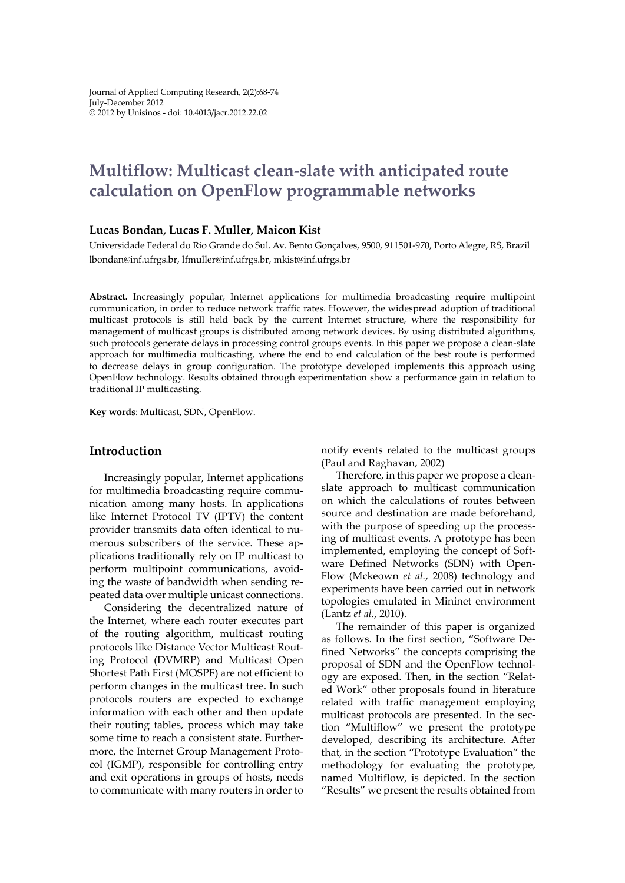# **Multiflow: Multicast clean-slate with anticipated route calculation on OpenFlow programmable networks**

#### **Lucas Bondan, Lucas F. Muller, Maicon Kist**

Universidade Federal do Rio Grande do Sul. Av. Bento Gonçalves, 9500, 911501-970, Porto Alegre, RS, Brazil lbondan@inf.ufrgs.br, lfmuller@inf.ufrgs.br, mkist@inf.ufrgs.br

**Abs tract.** Increasingly popular, Internet applications for multimedia broadcasting require multipoint communication, in order to reduce network traffic rates. However, the widespread adoption of traditional multicast protocols is still held back by the current Internet structure, where the responsibility for management of multicast groups is distributed among network devices. By using distributed algorithms, such protocols generate delays in processing control groups events. In this paper we propose a clean-slate approach for multimedia multicasting, where the end to end calculation of the best route is performed to decrease delays in group configuration. The prototype developed implements this approach using OpenFlow technology. Results obtained through experimentation show a performance gain in relation to traditional IP multicasting.

**Key words**: Multicast, SDN, OpenFlow.

## **Introduction**

Increasingly popular, Internet applications for multimedia broadcasting require communication among many hosts. In applications like Internet Protocol TV (IPTV) the content provider transmits data often identical to numerous subscribers of the service. These applications traditionally rely on IP multicast to perform multipoint communications, avoiding the waste of bandwidth when sending repeated data over multiple unicast connections.

Considering the decentralized nature of the Internet, where each router executes part of the routing algorithm, multicast routing protocols like Distance Vector Multicast Routing Protocol (DVMRP) and Multicast Open Shortest Path First (MOSPF) are not efficient to perform changes in the multicast tree. In such protocols routers are expected to exchange information with each other and then update their routing tables, process which may take some time to reach a consistent state. Furthermore, the Internet Group Management Protocol (IGMP), responsible for controlling entry and exit operations in groups of hosts, needs to communicate with many routers in order to

notify events related to the multicast groups (Paul and Raghavan, 2002)

Therefore, in this paper we propose a cleanslate approach to multicast communication on which the calculations of routes between source and destination are made beforehand, with the purpose of speeding up the processing of multicast events. A prototype has been implemented, employing the concept of Software Defined Networks (SDN) with Open-Flow (Mckeown *et al.*, 2008) technology and experiments have been carried out in network topologies emulated in Mininet environment (Lantz *et al.*, 2010).

The remainder of this paper is organized as follows. In the first section, "Software Defined Networks" the concepts comprising the proposal of SDN and the OpenFlow technology are exposed. Then, in the section "Related Work" other proposals found in literature related with traffic management employing multicast protocols are presented. In the section "Multiflow" we present the prototype developed, describing its architecture. After that, in the section "Prototype Evaluation" the methodology for evaluating the prototype, named Multiflow, is depicted. In the section "Results" we present the results obtained from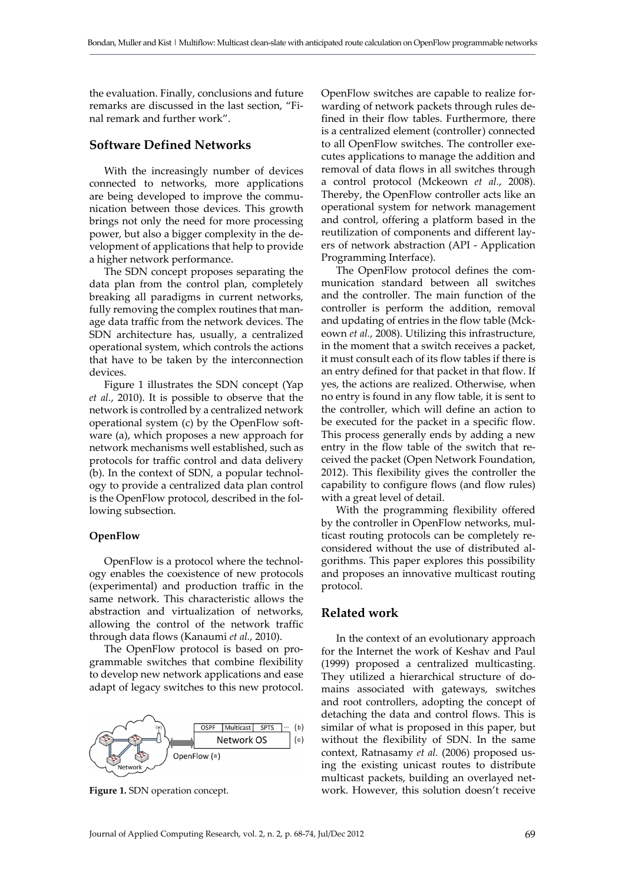the evaluation. Finally, conclusions and future remarks are discussed in the last section, "Final remark and further work".

# **Software Defined Networks**

With the increasingly number of devices connected to networks, more applications are being developed to improve the communication between those devices. This growth brings not only the need for more processing power, but also a bigger complexity in the development of applications that help to provide a higher network performance.

The SDN concept proposes separating the data plan from the control plan, completely breaking all paradigms in current networks, fully removing the complex routines that manage data traffic from the network devices. The SDN architecture has, usually, a centralized operational system, which controls the actions that have to be taken by the interconnection devices.

Figure 1 illustrates the SDN concept (Yap *et al.*, 2010). It is possible to observe that the network is controlled by a centralized network operational system (c) by the OpenFlow software (a), which proposes a new approach for network mechanisms well established, such as protocols for traffic control and data delivery (b). In the context of SDN, a popular technology to provide a centralized data plan control is the OpenFlow protocol, described in the following subsection.

#### **OpenFlow**

OpenFlow is a protocol where the technology enables the coexistence of new protocols (experimental) and production traffic in the same network. This characteristic allows the abstraction and virtualization of networks, allowing the control of the network traffic through data flows (Kanaumi *et al.*, 2010).

The OpenFlow protocol is based on programmable switches that combine flexibility to develop new network applications and ease adapt of legacy switches to this new protocol.



OpenFlow switches are capable to realize forwarding of network packets through rules defined in their flow tables. Furthermore, there is a centralized element (controller) connected to all OpenFlow switches. The controller executes applications to manage the addition and removal of data flows in all switches through a control protocol (Mckeown *et al.*, 2008). Thereby, the OpenFlow controller acts like an operational system for network management and control, offering a platform based in the reutilization of components and different layers of network abstraction (API - Application Programming Interface).

The OpenFlow protocol defines the communication standard between all switches and the controller. The main function of the controller is perform the addition, removal and updating of entries in the flow table (Mckeown *et al.*, 2008). Utilizing this infrastructure, in the moment that a switch receives a packet, it must consult each of its flow tables if there is an entry defined for that packet in that flow. If yes, the actions are realized. Otherwise, when no entry is found in any flow table, it is sent to the controller, which will define an action to be executed for the packet in a specific flow. This process generally ends by adding a new entry in the flow table of the switch that received the packet (Open Network Foundation, 2012). This flexibility gives the controller the capability to configure flows (and flow rules) with a great level of detail.

With the programming flexibility offered by the controller in OpenFlow networks, multicast routing protocols can be completely reconsidered without the use of distributed algorithms. This paper explores this possibility and proposes an innovative multicast routing protocol.

# **Related work**

In the context of an evolutionary approach for the Internet the work of Keshav and Paul (1999) proposed a centralized multicasting. They utilized a hierarchical structure of domains associated with gateways, switches and root controllers, adopting the concept of detaching the data and control flows. This is similar of what is proposed in this paper, but without the flexibility of SDN. In the same context, Ratnasamy *et al.* (2006) proposed using the existing unicast routes to distribute multicast packets, building an overlayed net-**Figure 1.** SDN operation concept. Work. However, this solution doesn't receive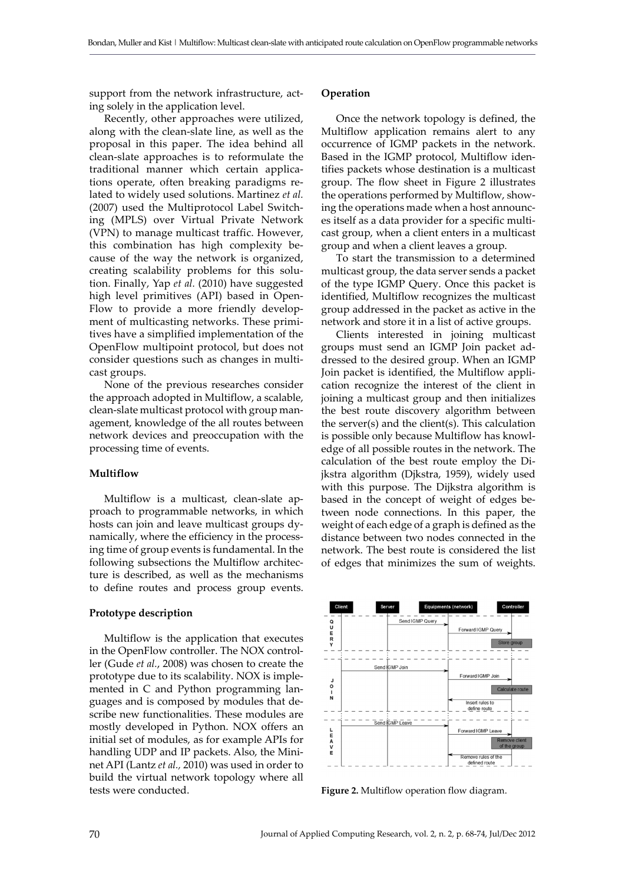support from the network infrastructure, acting solely in the application level.

Recently, other approaches were utilized, along with the clean-slate line, as well as the proposal in this paper. The idea behind all clean-slate approaches is to reformulate the traditional manner which certain applications operate, often breaking paradigms related to widely used solutions. Martinez *et al.* (2007) used the Multiprotocol Label Switching (MPLS) over Virtual Private Network (VPN) to manage multicast traffic. However, this combination has high complexity because of the way the network is organized, creating scalability problems for this solution. Finally, Yap *et al.* (2010) have suggested high level primitives (API) based in Open-Flow to provide a more friendly development of multicasting networks. These primitives have a simplified implementation of the OpenFlow multipoint protocol, but does not consider questions such as changes in multicast groups.

None of the previous researches consider the approach adopted in Multiflow, a scalable, clean-slate multicast protocol with group management, knowledge of the all routes between network devices and preoccupation with the processing time of events.

#### **Multiflow**

Multiflow is a multicast, clean-slate approach to programmable networks, in which hosts can join and leave multicast groups dynamically, where the efficiency in the processing time of group events is fundamental. In the following subsections the Multiflow architecture is described, as well as the mechanisms to define routes and process group events.

#### **Prototype description**

Multiflow is the application that executes in the OpenFlow controller. The NOX controller (Gude *et al.*, 2008) was chosen to create the prototype due to its scalability. NOX is implemented in C and Python programming languages and is composed by modules that describe new functionalities. These modules are mostly developed in Python. NOX offers an initial set of modules, as for example APIs for handling UDP and IP packets. Also, the Mininet API (Lantz *et al.,* 2010) was used in order to build the virtual network topology where all tests were conducted.

#### **Operation**

Once the network topology is defined, the Multiflow application remains alert to any occurrence of IGMP packets in the network. Based in the IGMP protocol, Multiflow identifies packets whose destination is a multicast group. The flow sheet in Figure 2 illustrates the operations performed by Multiflow, showing the operations made when a host announces itself as a data provider for a specific multicast group, when a client enters in a multicast group and when a client leaves a group.

To start the transmission to a determined multicast group, the data server sends a packet of the type IGMP Query. Once this packet is identified, Multiflow recognizes the multicast group addressed in the packet as active in the network and store it in a list of active groups.

Clients interested in joining multicast groups must send an IGMP Join packet addressed to the desired group. When an IGMP Join packet is identified, the Multiflow application recognize the interest of the client in joining a multicast group and then initializes the best route discovery algorithm between the server(s) and the client(s). This calculation is possible only because Multiflow has knowledge of all possible routes in the network. The calculation of the best route employ the Dijkstra algorithm (Djkstra, 1959), widely used with this purpose. The Dijkstra algorithm is based in the concept of weight of edges between node connections. In this paper, the weight of each edge of a graph is defined as the distance between two nodes connected in the network. The best route is considered the list of edges that minimizes the sum of weights.



**Figure 2.** Multiflow operation flow diagram.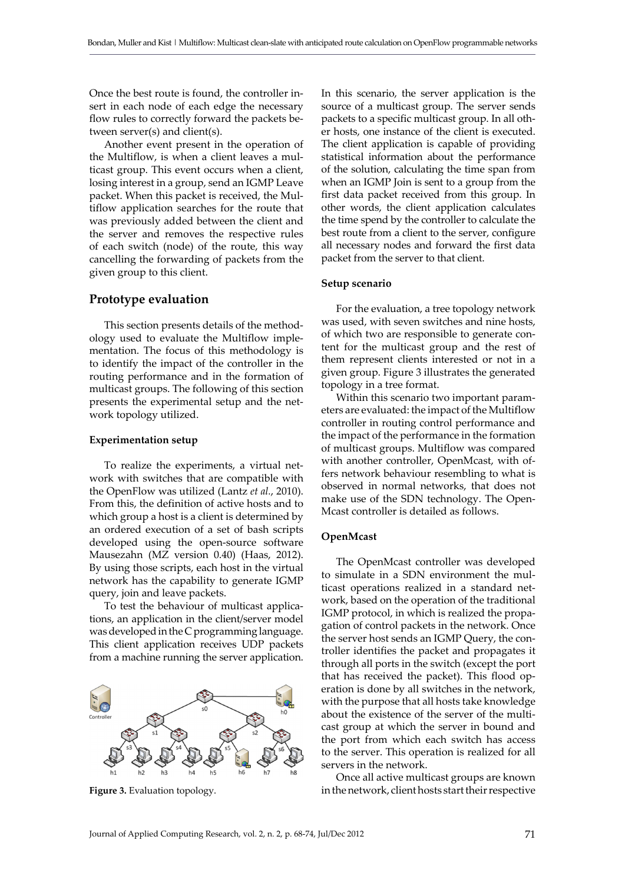Once the best route is found, the controller insert in each node of each edge the necessary flow rules to correctly forward the packets between server(s) and client(s).

Another event present in the operation of the Multiflow, is when a client leaves a multicast group. This event occurs when a client, losing interest in a group, send an IGMP Leave packet. When this packet is received, the Multiflow application searches for the route that was previously added between the client and the server and removes the respective rules of each switch (node) of the route, this way cancelling the forwarding of packets from the given group to this client.

## **Prototype evaluation**

This section presents details of the methodology used to evaluate the Multiflow implementation. The focus of this methodology is to identify the impact of the controller in the routing performance and in the formation of multicast groups. The following of this section presents the experimental setup and the network topology utilized.

#### **Experimentation setup**

To realize the experiments, a virtual network with switches that are compatible with the OpenFlow was utilized (Lantz *et al.*, 2010). From this, the definition of active hosts and to which group a host is a client is determined by an ordered execution of a set of bash scripts developed using the open-source software Mausezahn (MZ version 0.40) (Haas, 2012). By using those scripts, each host in the virtual network has the capability to generate IGMP query, join and leave packets.

To test the behaviour of multicast applications, an application in the client/server model was developed in the C programming language. This client application receives UDP packets from a machine running the server application.



In this scenario, the server application is the source of a multicast group. The server sends packets to a specific multicast group. In all other hosts, one instance of the client is executed. The client application is capable of providing statistical information about the performance of the solution, calculating the time span from when an IGMP Join is sent to a group from the first data packet received from this group. In other words, the client application calculates the time spend by the controller to calculate the best route from a client to the server, configure all necessary nodes and forward the first data packet from the server to that client.

#### **Setup scenario**

For the evaluation, a tree topology network was used, with seven switches and nine hosts, of which two are responsible to generate content for the multicast group and the rest of them represent clients interested or not in a given group. Figure 3 illustrates the generated topology in a tree format.

Within this scenario two important parameters are evaluated: the impact of the Multiflow controller in routing control performance and the impact of the performance in the formation of multicast groups. Multiflow was compared with another controller, OpenMcast, with offers network behaviour resembling to what is observed in normal networks, that does not make use of the SDN technology. The Open-Mcast controller is detailed as follows.

# **OpenMcast**

The OpenMcast controller was developed to simulate in a SDN environment the multicast operations realized in a standard network, based on the operation of the traditional IGMP protocol, in which is realized the propagation of control packets in the network. Once the server host sends an IGMP Query, the controller identifies the packet and propagates it through all ports in the switch (except the port that has received the packet). This flood operation is done by all switches in the network, with the purpose that all hosts take knowledge about the existence of the server of the multicast group at which the server in bound and the port from which each switch has access to the server. This operation is realized for all servers in the network.

Once all active multicast groups are known **Figure 3.** Evaluation topology. **in the network, client hosts start their respective**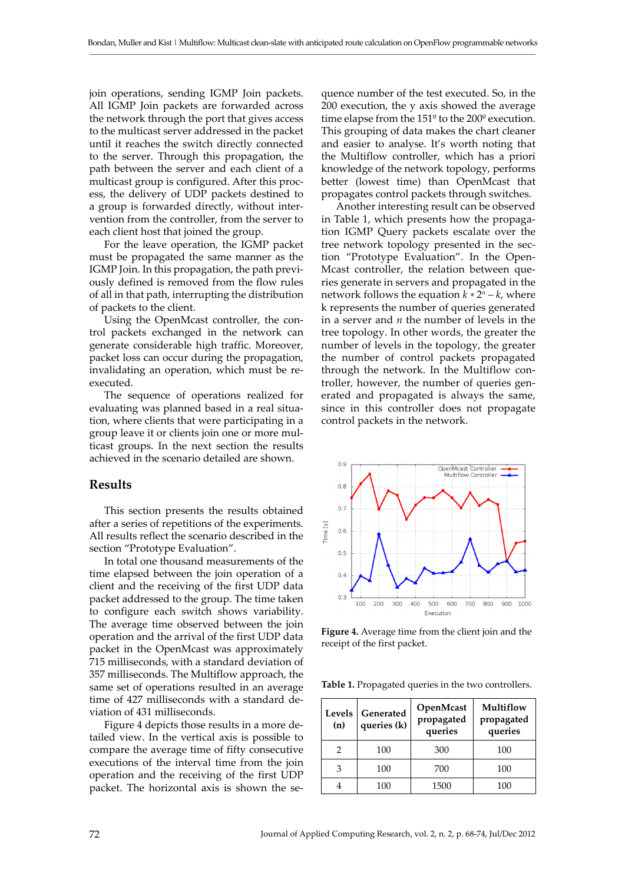join operations, sending IGMP Join packets. All IGMP Join packets are forwarded across the network through the port that gives access to the multicast server addressed in the packet until it reaches the switch directly connected to the server. Through this propagation, the path between the server and each client of a multicast group is configured. After this process, the delivery of UDP packets destined to a group is forwarded directly, without intervention from the controller, from the server to each client host that joined the group.

For the leave operation, the IGMP packet must be propagated the same manner as the IGMP Join. In this propagation, the path previously defined is removed from the flow rules of all in that path, interrupting the distribution of packets to the client.

Using the OpenMcast controller, the control packets exchanged in the network can generate considerable high traffic. Moreover, packet loss can occur during the propagation, invalidating an operation, which must be reexecuted.

The sequence of operations realized for evaluating was planned based in a real situation, where clients that were participating in a group leave it or clients join one or more multicast groups. In the next section the results achieved in the scenario detailed are shown.

#### **Results**

This section presents the results obtained after a series of repetitions of the experiments. All results reflect the scenario described in the section "Prototype Evaluation".

In total one thousand measurements of the time elapsed between the join operation of a client and the receiving of the first UDP data packet addressed to the group. The time taken to configure each switch shows variability. The average time observed between the join operation and the arrival of the first UDP data packet in the OpenMcast was approximately 715 milliseconds, with a standard deviation of 357 milliseconds. The Multiflow approach, the same set of operations resulted in an average time of 427 milliseconds with a standard deviation of 431 milliseconds.

Figure 4 depicts those results in a more detailed view. In the vertical axis is possible to compare the average time of fifty consecutive executions of the interval time from the join operation and the receiving of the first UDP packet. The horizontal axis is shown the sequence number of the test executed. So, in the 200 execution, the y axis showed the average time elapse from the 151º to the 200º execution. This grouping of data makes the chart cleaner and easier to analyse. It's worth noting that the Multiflow controller, which has a priori knowledge of the network topology, performs better (lowest time) than OpenMcast that propagates control packets through switches.

Another interesting result can be observed in Table 1, which presents how the propagation IGMP Query packets escalate over the tree network topology presented in the section "Prototype Evaluation". In the Open-Mcast controller, the relation between queries generate in servers and propagated in the network follows the equation  $k * 2<sup>n</sup> - k$ , where k represents the number of queries generated in a server and *n* the number of levels in the tree topology. In other words, the greater the number of levels in the topology, the greater the number of control packets propagated through the network. In the Multiflow controller, however, the number of queries generated and propagated is always the same, since in this controller does not propagate control packets in the network.



**Figure 4.** Average time from the client join and the receipt of the first packet.

**Table 1.** Propagated queries in the two controllers.

| Levels<br>(n) | Generated<br>queries (k) | OpenMcast<br>propagated<br>queries | Multiflow<br>propagated<br>queries |
|---------------|--------------------------|------------------------------------|------------------------------------|
|               | 100                      | 300                                | 100                                |
| 3             | 100                      | 700                                | 100                                |
|               | 100                      | 1500                               | 100                                |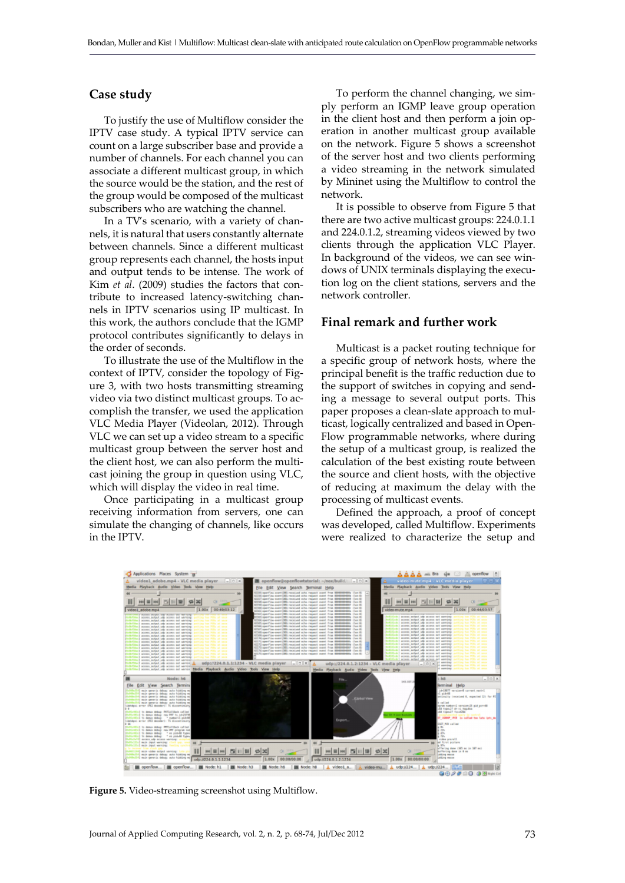# **Case study**

To justify the use of Multiflow consider the IPTV case study. A typical IPTV service can count on a large subscriber base and provide a number of channels. For each channel you can associate a different multicast group, in which the source would be the station, and the rest of the group would be composed of the multicast subscribers who are watching the channel.

In a TV's scenario, with a variety of channels, it is natural that users constantly alternate between channels. Since a different multicast group represents each channel, the hosts input and output tends to be intense. The work of Kim *et al*. (2009) studies the factors that contribute to increased latency-switching channels in IPTV scenarios using IP multicast. In this work, the authors conclude that the IGMP protocol contributes significantly to delays in the order of seconds.

To illustrate the use of the Multiflow in the context of IPTV, consider the topology of Figure 3, with two hosts transmitting streaming video via two distinct multicast groups. To accomplish the transfer, we used the application VLC Media Player (Videolan, 2012). Through VLC we can set up a video stream to a specific multicast group between the server host and the client host, we can also perform the multicast joining the group in question using VLC, which will display the video in real time.

Once participating in a multicast group receiving information from servers, one can simulate the changing of channels, like occurs in the IPTV.

To perform the channel changing, we simply perform an IGMP leave group operation in the client host and then perform a join operation in another multicast group available on the network. Figure 5 shows a screenshot of the server host and two clients performing a video streaming in the network simulated by Mininet using the Multiflow to control the network.

It is possible to observe from Figure 5 that there are two active multicast groups: 224.0.1.1 and 224.0.1.2, streaming videos viewed by two clients through the application VLC Player. In background of the videos, we can see windows of UNIX terminals displaying the execution log on the client stations, servers and the network controller.

# **Final remark and further work**

Multicast is a packet routing technique for a specific group of network hosts, where the principal benefit is the traffic reduction due to the support of switches in copying and sending a message to several output ports. This paper proposes a clean-slate approach to multicast, logically centralized and based in Open-Flow programmable networks, where during the setup of a multicast group, is realized the calculation of the best existing route between the source and client hosts, with the objective of reducing at maximum the delay with the processing of multicast events.

Defined the approach, a proof of concept was developed, called Multiflow. Experiments were realized to characterize the setup and



**Figure 5.** Video-streaming screenshot using Multiflow.